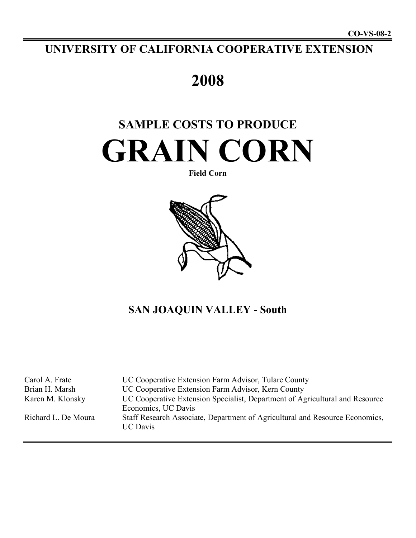## **UNIVERSITY OF CALIFORNIA COOPERATIVE EXTENSION**

## **2008**

# **SAMPLE COSTS TO PRODUCE GRAIN CORN**

#### **Field Corn**



## **SAN JOAQUIN VALLEY - South**

| Carol A. Frate      | UC Cooperative Extension Farm Advisor, Tulare County                                                |
|---------------------|-----------------------------------------------------------------------------------------------------|
| Brian H. Marsh      | UC Cooperative Extension Farm Advisor, Kern County                                                  |
| Karen M. Klonsky    | UC Cooperative Extension Specialist, Department of Agricultural and Resource<br>Economics, UC Davis |
| Richard L. De Moura | Staff Research Associate, Department of Agricultural and Resource Economics,<br><b>UC</b> Davis     |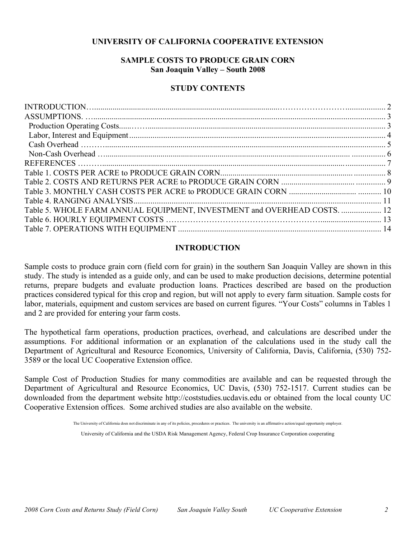#### **UNIVERSITY OF CALIFORNIA COOPERATIVE EXTENSION**

#### **SAMPLE COSTS TO PRODUCE GRAIN CORN San Joaquin Valley – South 2008**

#### **STUDY CONTENTS**

| Table 5. WHOLE FARM ANNUAL EQUIPMENT, INVESTMENT and OVERHEAD COSTS.  12 |  |
|--------------------------------------------------------------------------|--|
|                                                                          |  |
|                                                                          |  |
|                                                                          |  |

#### **INTRODUCTION**

Sample costs to produce grain corn (field corn for grain) in the southern San Joaquin Valley are shown in this study. The study is intended as a guide only, and can be used to make production decisions, determine potential returns, prepare budgets and evaluate production loans. Practices described are based on the production practices considered typical for this crop and region, but will not apply to every farm situation. Sample costs for labor, materials, equipment and custom services are based on current figures. "Your Costs" columns in Tables 1 and 2 are provided for entering your farm costs.

The hypothetical farm operations, production practices, overhead, and calculations are described under the assumptions. For additional information or an explanation of the calculations used in the study call the Department of Agricultural and Resource Economics, University of California, Davis, California, (530) 752- 3589 or the local UC Cooperative Extension office.

Sample Cost of Production Studies for many commodities are available and can be requested through the Department of Agricultural and Resource Economics, UC Davis, (530) 752-1517. Current studies can be downloaded from the department website http://coststudies.ucdavis.edu or obtained from the local county UC Cooperative Extension offices. Some archived studies are also available on the website.

The University of California does not discriminate in any of its policies, procedures or practices. The university is an affirmative action/equal opportunity employer.

University of California and the USDA Risk Management Agency, Federal Crop Insurance Corporation cooperating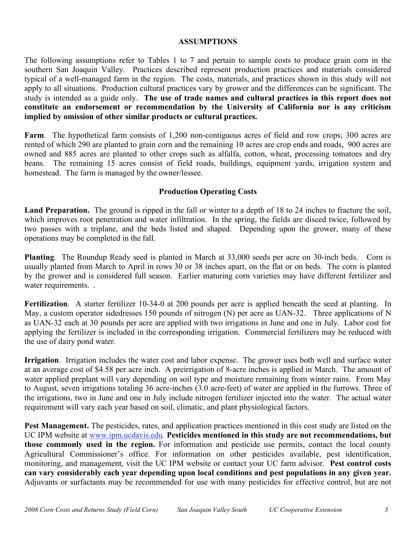#### **ASSUMPTIONS**

The following assumptions refer to Tables 1 to 7 and pertain to sample costs to produce grain corn in the southern San Joaquin Valley. Practices described represent production practices and materials considered typical of a well-managed farm in the region. The costs, materials, and practices shown in this study will not apply to all situations. Production cultural practices vary by grower and the differences can be significant. The study is intended as a guide only. **The use of trade names and cultural practices in this report does not constitute an endorsement or recommendation by the University of California nor is any criticism implied by omission of other similar products or cultural practices.**

**Farm**. The hypothetical farm consists of 1,200 non-contiguous acres of field and row crops; 300 acres are rented of which 290 are planted to grain corn and the remaining 10 acres are crop ends and roads, 900 acres are owned and 885 acres are planted to other crops such as alfalfa, cotton, wheat, processing tomatoes and dry beans. The remaining 15 acres consist of field roads, buildings, equipment yards, irrigation system and homestead. The farm is managed by the owner/lessee.

#### **Production Operating Costs**

**Land Preparation.** The ground is ripped in the fall or winter to a depth of 18 to 24 inches to fracture the soil, which improves root penetration and water infiltration. In the spring, the fields are disced twice, followed by two passes with a triplane, and the beds listed and shaped. Depending upon the grower, many of these operations may be completed in the fall.

**Planting**. The Roundup Ready seed is planted in March at 33,000 seeds per acre on 30-inch beds. Corn is usually planted from March to April in rows 30 or 38 inches apart, on the flat or on beds. The corn is planted by the grower and is considered full season. Earlier maturing corn varieties may have different fertilizer and water requirements. .

**Fertilization**. A starter fertilizer 10-34-0 at 200 pounds per acre is applied beneath the seed at planting. In May, a custom operator sidedresses 150 pounds of nitrogen (N) per acre as UAN-32. Three applications of N as UAN-32 each at 30 pounds per acre are applied with two irrigations in June and one in July. Labor cost for applying the fertilizer is included in the corresponding irrigation. Commercial fertilizers may be reduced with the use of dairy pond water.

**Irrigation**. Irrigation includes the water cost and labor expense. The grower uses both well and surface water at an average cost of \$4.58 per acre inch. A preirrigation of 8-acre inches is applied in March. The amount of water applied preplant will vary depending on soil type and moisture remaining from winter rains. From May to August, seven irrigations totaling 36 acre-inches (3.0 acre-feet) of water are applied in the furrows. Three of the irrigations, two in June and one in July include nitrogen fertilizer injected into the water. The actual water requirement will vary each year based on soil, climatic, and plant physiological factors.

**Pest Management.** The pesticides, rates, and application practices mentioned in this cost study are listed on the UC IPM website at www.ipm.ucdavis.edu*.* **Pesticides mentioned in this study are not recommendations, but those commonly used in the region.** For information and pesticide use permits, contact the local county Agricultural Commissioner's office. For information on other pesticides available, pest identification, monitoring, and management, visit the UC IPM website or contact your UC farm advisor. **Pest control costs can vary considerably each year depending upon local conditions and pest populations in any given year.** Adjuvants or surfactants may be recommended for use with many pesticides for effective control, but are not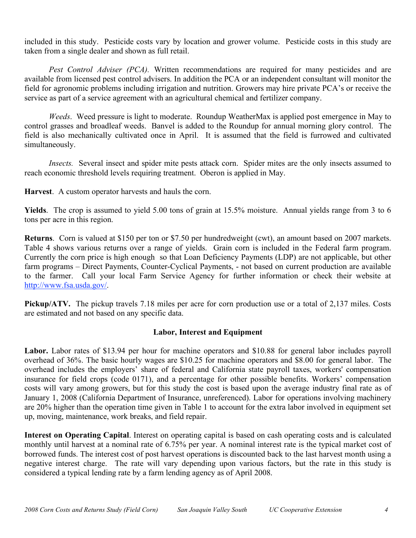included in this study. Pesticide costs vary by location and grower volume. Pesticide costs in this study are taken from a single dealer and shown as full retail.

*Pest Control Adviser (PCA).* Written recommendations are required for many pesticides and are available from licensed pest control advisers. In addition the PCA or an independent consultant will monitor the field for agronomic problems including irrigation and nutrition. Growers may hire private PCA's or receive the service as part of a service agreement with an agricultural chemical and fertilizer company.

*Weeds*. Weed pressure is light to moderate. Roundup WeatherMax is applied post emergence in May to control grasses and broadleaf weeds. Banvel is added to the Roundup for annual morning glory control. The field is also mechanically cultivated once in April. It is assumed that the field is furrowed and cultivated simultaneously.

*Insects.* Several insect and spider mite pests attack corn. Spider mites are the only insects assumed to reach economic threshold levels requiring treatment. Oberon is applied in May.

**Harvest**. A custom operator harvests and hauls the corn.

**Yields**. The crop is assumed to yield 5.00 tons of grain at 15.5% moisture. Annual yields range from 3 to 6 tons per acre in this region.

**Returns**. Corn is valued at \$150 per ton or \$7.50 per hundredweight (cwt), an amount based on 2007 markets. Table 4 shows various returns over a range of yields. Grain corn is included in the Federal farm program. Currently the corn price is high enough so that Loan Deficiency Payments (LDP) are not applicable, but other farm programs – Direct Payments, Counter-Cyclical Payments, - not based on current production are available to the farmer. Call your local Farm Service Agency for further information or check their website at http://www.fsa.usda.gov/.

**Pickup/ATV.** The pickup travels 7.18 miles per acre for corn production use or a total of 2,137 miles. Costs are estimated and not based on any specific data.

#### **Labor, Interest and Equipment**

**Labor.** Labor rates of \$13.94 per hour for machine operators and \$10.88 for general labor includes payroll overhead of 36%. The basic hourly wages are \$10.25 for machine operators and \$8.00 for general labor. The overhead includes the employers' share of federal and California state payroll taxes, workers' compensation insurance for field crops (code 0171), and a percentage for other possible benefits. Workers' compensation costs will vary among growers, but for this study the cost is based upon the average industry final rate as of January 1, 2008 (California Department of Insurance, unreferenced). Labor for operations involving machinery are 20% higher than the operation time given in Table 1 to account for the extra labor involved in equipment set up, moving, maintenance, work breaks, and field repair.

**Interest on Operating Capital**. Interest on operating capital is based on cash operating costs and is calculated monthly until harvest at a nominal rate of 6.75% per year. A nominal interest rate is the typical market cost of borrowed funds. The interest cost of post harvest operations is discounted back to the last harvest month using a negative interest charge. The rate will vary depending upon various factors, but the rate in this study is considered a typical lending rate by a farm lending agency as of April 2008.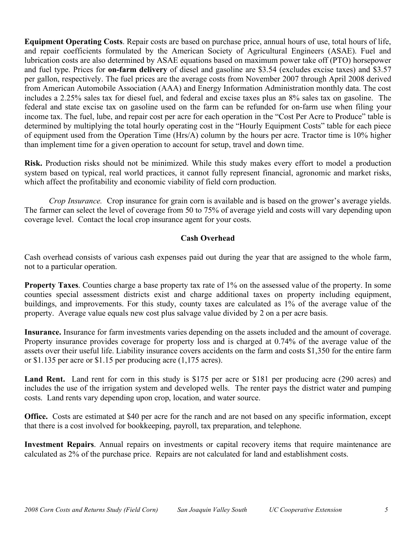**Equipment Operating Costs**. Repair costs are based on purchase price, annual hours of use, total hours of life, and repair coefficients formulated by the American Society of Agricultural Engineers (ASAE). Fuel and lubrication costs are also determined by ASAE equations based on maximum power take off (PTO) horsepower and fuel type. Prices for **on-farm delivery** of diesel and gasoline are \$3.54 (excludes excise taxes) and \$3.57 per gallon, respectively. The fuel prices are the average costs from November 2007 through April 2008 derived from American Automobile Association (AAA) and Energy Information Administration monthly data. The cost includes a 2.25% sales tax for diesel fuel, and federal and excise taxes plus an 8% sales tax on gasoline. The federal and state excise tax on gasoline used on the farm can be refunded for on-farm use when filing your income tax. The fuel, lube, and repair cost per acre for each operation in the "Cost Per Acre to Produce" table is determined by multiplying the total hourly operating cost in the "Hourly Equipment Costs" table for each piece of equipment used from the Operation Time (Hrs/A) column by the hours per acre. Tractor time is 10% higher than implement time for a given operation to account for setup, travel and down time.

**Risk.** Production risks should not be minimized. While this study makes every effort to model a production system based on typical, real world practices, it cannot fully represent financial, agronomic and market risks, which affect the profitability and economic viability of field corn production.

*Crop Insurance.* Crop insurance for grain corn is available and is based on the grower's average yields. The farmer can select the level of coverage from 50 to 75% of average yield and costs will vary depending upon coverage level. Contact the local crop insurance agent for your costs.

#### **Cash Overhead**

Cash overhead consists of various cash expenses paid out during the year that are assigned to the whole farm, not to a particular operation.

**Property Taxes**. Counties charge a base property tax rate of 1% on the assessed value of the property. In some counties special assessment districts exist and charge additional taxes on property including equipment, buildings, and improvements. For this study, county taxes are calculated as 1% of the average value of the property. Average value equals new cost plus salvage value divided by 2 on a per acre basis.

**Insurance.** Insurance for farm investments varies depending on the assets included and the amount of coverage. Property insurance provides coverage for property loss and is charged at 0.74% of the average value of the assets over their useful life. Liability insurance covers accidents on the farm and costs \$1,350 for the entire farm or \$1.135 per acre or \$1.15 per producing acre (1,175 acres).

Land Rent. Land rent for corn in this study is \$175 per acre or \$181 per producing acre (290 acres) and includes the use of the irrigation system and developed wells. The renter pays the district water and pumping costs. Land rents vary depending upon crop, location, and water source.

**Office.** Costs are estimated at \$40 per acre for the ranch and are not based on any specific information, except that there is a cost involved for bookkeeping, payroll, tax preparation, and telephone.

**Investment Repairs**. Annual repairs on investments or capital recovery items that require maintenance are calculated as 2% of the purchase price. Repairs are not calculated for land and establishment costs.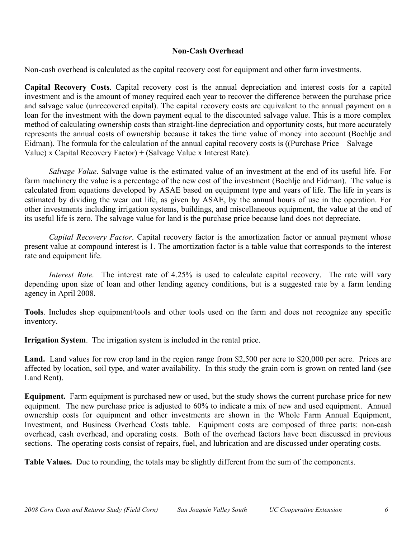#### **Non-Cash Overhead**

Non-cash overhead is calculated as the capital recovery cost for equipment and other farm investments.

**Capital Recovery Costs**. Capital recovery cost is the annual depreciation and interest costs for a capital investment and is the amount of money required each year to recover the difference between the purchase price and salvage value (unrecovered capital). The capital recovery costs are equivalent to the annual payment on a loan for the investment with the down payment equal to the discounted salvage value. This is a more complex method of calculating ownership costs than straight-line depreciation and opportunity costs, but more accurately represents the annual costs of ownership because it takes the time value of money into account (Boehlje and Eidman). The formula for the calculation of the annual capital recovery costs is ((Purchase Price – Salvage Value) x Capital Recovery Factor) + (Salvage Value x Interest Rate).

*Salvage Value*. Salvage value is the estimated value of an investment at the end of its useful life. For farm machinery the value is a percentage of the new cost of the investment (Boehlje and Eidman). The value is calculated from equations developed by ASAE based on equipment type and years of life. The life in years is estimated by dividing the wear out life, as given by ASAE, by the annual hours of use in the operation. For other investments including irrigation systems, buildings, and miscellaneous equipment, the value at the end of its useful life is zero. The salvage value for land is the purchase price because land does not depreciate.

*Capital Recovery Factor*. Capital recovery factor is the amortization factor or annual payment whose present value at compound interest is 1. The amortization factor is a table value that corresponds to the interest rate and equipment life.

*Interest Rate.* The interest rate of 4.25% is used to calculate capital recovery. The rate will vary depending upon size of loan and other lending agency conditions, but is a suggested rate by a farm lending agency in April 2008.

**Tools**. Includes shop equipment/tools and other tools used on the farm and does not recognize any specific inventory.

**Irrigation System**. The irrigation system is included in the rental price.

Land. Land values for row crop land in the region range from \$2,500 per acre to \$20,000 per acre. Prices are affected by location, soil type, and water availability. In this study the grain corn is grown on rented land (see Land Rent).

**Equipment.** Farm equipment is purchased new or used, but the study shows the current purchase price for new equipment. The new purchase price is adjusted to 60% to indicate a mix of new and used equipment. Annual ownership costs for equipment and other investments are shown in the Whole Farm Annual Equipment, Investment, and Business Overhead Costs table. Equipment costs are composed of three parts: non-cash overhead, cash overhead, and operating costs. Both of the overhead factors have been discussed in previous sections. The operating costs consist of repairs, fuel, and lubrication and are discussed under operating costs.

**Table Values.** Due to rounding, the totals may be slightly different from the sum of the components.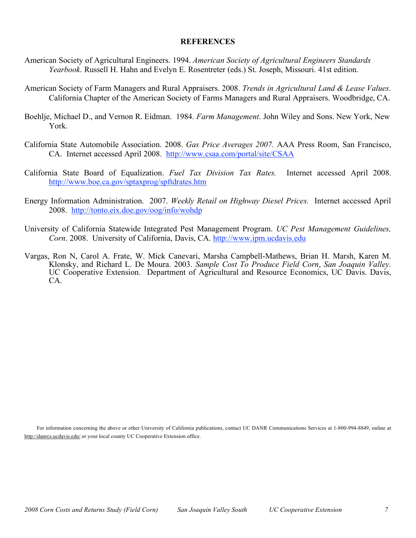#### **REFERENCES**

- American Society of Agricultural Engineers. 1994. *American Society of Agricultural Engineers Standards Yearbook*. Russell H. Hahn and Evelyn E. Rosentreter (eds.) St. Joseph, Missouri. 41st edition.
- American Society of Farm Managers and Rural Appraisers. 2008. *Trends in Agricultural Land & Lease Values*. California Chapter of the American Society of Farms Managers and Rural Appraisers. Woodbridge, CA.
- Boehlje, Michael D., and Vernon R. Eidman. 1984. *Farm Management*. John Wiley and Sons. New York, New York.
- California State Automobile Association. 2008. *Gas Price Averages 2007.* AAA Press Room, San Francisco, CA. Internet accessed April 2008. http://www.csaa.com/portal/site/CSAA
- California State Board of Equalization. *Fuel Tax Division Tax Rates.* Internet accessed April 2008. http://www.boe.ca.gov/sptaxprog/spftdrates.htm
- Energy Information Administration. 2007. *Weekly Retail on Highway Diesel Prices.* Internet accessed April 2008. http://tonto.eix.doe.gov/oog/info/wohdp
- University of California Statewide Integrated Pest Management Program. *UC Pest Management Guidelines, Corn*. 2008. University of California, Davis, CA. http://www.ipm.ucdavis.edu
- Vargas, Ron N, Carol A. Frate, W. Mick Canevari, Marsha Campbell-Mathews, Brian H. Marsh, Karen M. Klonsky, and Richard L. De Moura. 2003. Sample Cost To Produce Field Corn, San Joaquin Valley.<br>UC Cooperative Extension. De

For information concerning the above or other University of California publications, contact UC DANR Communications Services at 1-800-994-8849, online at http://danrcs.ucdavis.edu/ or your local county UC Cooperative Extension office.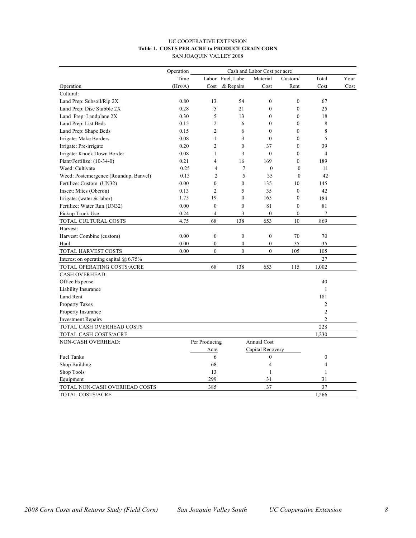#### UC COOPERATIVE EXTENSION **Table 1. COSTS PER ACRE to PRODUCE GRAIN CORN** SAN JOAQUIN VALLEY 2008

|                                              | Operation<br>Cash and Labor Cost per acre |                  |                  |                  |                  |                  |      |
|----------------------------------------------|-------------------------------------------|------------------|------------------|------------------|------------------|------------------|------|
|                                              | Time                                      |                  | Labor Fuel, Lube | Material         | Custom/          | Total            | Your |
| Operation                                    | (Hrs/A)                                   | Cost             | & Repairs        | Cost             | Rent             | Cost             | Cost |
| Cultural:                                    |                                           |                  |                  |                  |                  |                  |      |
| Land Prep: Subsoil/Rip 2X                    | 0.80                                      | 13               | 54               | $\boldsymbol{0}$ | $\boldsymbol{0}$ | 67               |      |
| Land Prep: Disc Stubble 2X                   | 0.28                                      | 5                | 21               | $\mathbf{0}$     | $\mathbf{0}$     | 25               |      |
| Land Prep: Landplane 2X                      | 0.30                                      | 5                | 13               | $\theta$         | $\theta$         | 18               |      |
| Land Prep: List Beds                         | 0.15                                      | $\overline{2}$   | 6                | $\mathbf{0}$     | $\overline{0}$   | 8                |      |
| Land Prep: Shape Beds                        | 0.15                                      | $\overline{c}$   | 6                | $\mathbf{0}$     | $\overline{0}$   | 8                |      |
| Irrigate: Make Borders                       | 0.08                                      | $\mathbf{1}$     | 3                | $\mathbf{0}$     | $\overline{0}$   | 5                |      |
| Irrigate: Pre-irrigate                       | 0.20                                      | $\overline{c}$   | $\mathbf{0}$     | 37               | $\overline{0}$   | 39               |      |
| Irrigate: Knock Down Border                  | 0.08                                      | $\mathbf{1}$     | 3                | $\boldsymbol{0}$ | $\boldsymbol{0}$ | $\overline{4}$   |      |
| Plant/Fertilize: (10-34-0)                   | 0.21                                      | 4                | 16               | 169              | $\theta$         | 189              |      |
| Weed: Cultivate                              | 0.25                                      | 4                | $\overline{7}$   | $\mathbf{0}$     | $\mathbf{0}$     | 11               |      |
| Weed: Postemergence (Roundup, Banvel)        | 0.13                                      | $\overline{2}$   | 5                | 35               | $\mathbf{0}$     | 42               |      |
| Fertilize: Custom (UN32)                     | 0.00                                      | $\mathbf{0}$     | $\mathbf{0}$     | 135              | 10               | 145              |      |
| Insect: Mites (Oberon)                       | 0.13                                      | $\overline{2}$   | 5                | 35               | $\boldsymbol{0}$ | 42               |      |
| Irrigate: (water $&$ labor)                  | 1.75                                      | 19               | $\boldsymbol{0}$ | 165              | $\boldsymbol{0}$ | 184              |      |
| Fertilize: Water Run (UN32)                  | 0.00                                      | $\mathbf{0}$     | $\mathbf{0}$     | 81               | $\mathbf{0}$     | 81               |      |
| Pickup Truck Use                             | 0.24                                      | $\overline{4}$   | 3                | $\mathbf{0}$     | $\mathbf{0}$     | $\overline{7}$   |      |
| TOTAL CULTURAL COSTS                         | 4.75                                      | 68               | 138              | 653              | 10               | 869              |      |
| Harvest:                                     |                                           |                  |                  |                  |                  |                  |      |
| Harvest: Combine (custom)                    | 0.00                                      | $\boldsymbol{0}$ | $\boldsymbol{0}$ | $\boldsymbol{0}$ | 70               | 70               |      |
| Haul                                         | 0.00                                      | $\overline{0}$   | $\mathbf{0}$     | $\mathbf{0}$     | 35               | 35               |      |
| TOTAL HARVEST COSTS                          | 0.00                                      | $\overline{0}$   | $\boldsymbol{0}$ | $\overline{0}$   | 105              | 105              |      |
| Interest on operating capital $\omega$ 6.75% |                                           |                  |                  |                  |                  | 27               |      |
| TOTAL OPERATING COSTS/ACRE                   |                                           | 68               | 138              | 653              | 115              | 1,002            |      |
| <b>CASH OVERHEAD:</b>                        |                                           |                  |                  |                  |                  |                  |      |
| Office Expense                               |                                           |                  |                  |                  |                  | 40               |      |
| Liability Insurance                          |                                           |                  |                  |                  |                  | $\mathbf{1}$     |      |
| Land Rent                                    |                                           |                  |                  |                  |                  | 181              |      |
| Property Taxes                               |                                           |                  |                  |                  |                  | $\overline{2}$   |      |
| Property Insurance                           |                                           |                  |                  |                  |                  | $\overline{c}$   |      |
| <b>Investment Repairs</b>                    |                                           |                  |                  |                  |                  | $\overline{c}$   |      |
| TOTAL CASH OVERHEAD COSTS                    |                                           |                  |                  |                  |                  | 228              |      |
| TOTAL CASH COSTS/ACRE                        |                                           |                  |                  |                  |                  | 1,230            |      |
| <b>NON-CASH OVERHEAD:</b>                    |                                           | Per Producing    |                  | Annual Cost      |                  |                  |      |
|                                              |                                           | Acre             |                  | Capital Recovery |                  |                  |      |
| <b>Fuel Tanks</b>                            |                                           | 6                |                  | $\boldsymbol{0}$ |                  | $\boldsymbol{0}$ |      |
| Shop Building                                |                                           | 68               |                  | $\overline{4}$   |                  | $\overline{4}$   |      |
| Shop Tools                                   |                                           | 13               |                  | $\mathbf{1}$     |                  | $\mathbf{1}$     |      |
| Equipment                                    |                                           | 299              |                  | 31               |                  | 31               |      |
| TOTAL NON-CASH OVERHEAD COSTS                |                                           | 385              |                  | 37               |                  | 37               |      |
| TOTAL COSTS/ACRE                             |                                           |                  |                  |                  |                  | 1,266            |      |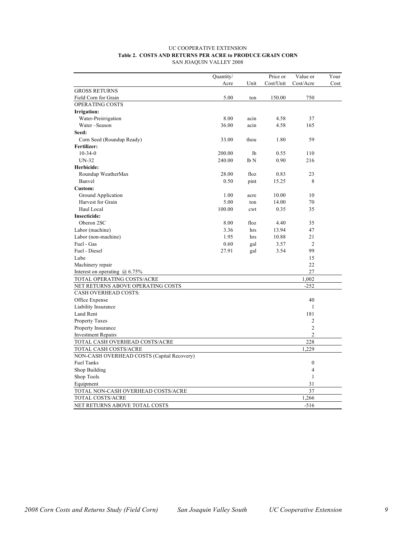#### UC COOPERATIVE EXTENSION **Table 2. COSTS AND RETURNS PER ACRE to PRODUCE GRAIN CORN** SAN JOAQUIN VALLEY 2008

|                                            | Quantity/ |                 | Price or  | Value or         | Your |
|--------------------------------------------|-----------|-----------------|-----------|------------------|------|
|                                            | Acre      | Unit            | Cost/Unit | Cost/Acre        | Cost |
| <b>GROSS RETURNS</b>                       |           |                 |           |                  |      |
| Field Corn for Grain                       | 5.00      | ton             | 150.00    | 750              |      |
| OPERATING COSTS                            |           |                 |           |                  |      |
| Irrigation:                                |           |                 |           |                  |      |
| Water-Preirrigation                        | 8.00      | acin            | 4.58      | 37               |      |
| Water-Season                               | 36.00     | acin            | 4.58      | 165              |      |
| Seed:                                      |           |                 |           |                  |      |
| Corn Seed (Roundup Ready)                  | 33.00     | thou            | 1.80      | 59               |      |
| Fertilizer:                                |           |                 |           |                  |      |
| $10 - 34 - 0$                              | 200.00    | 1b              | 0.55      | 110              |      |
| $UN-32$                                    | 240.00    | lb <sub>N</sub> | 0.90      | 216              |      |
| Herbicide:                                 |           |                 |           |                  |      |
| Roundup WeatherMax                         | 28.00     | floz            | 0.83      | 23               |      |
| Banvel                                     | 0.50      | pint            | 15.25     | 8                |      |
| <b>Custom:</b>                             |           |                 |           |                  |      |
| Ground Application                         | 1.00      | acre            | 10.00     | 10               |      |
| Harvest for Grain                          | 5.00      | ton             | 14.00     | 70               |      |
| Haul Local                                 | 100.00    | cwt             | 0.35      | 35               |      |
| <b>Insecticide:</b>                        |           |                 |           |                  |      |
| Oberon 2SC                                 | 8.00      | floz            | 4.40      | 35               |      |
| Labor (machine)                            | 3.36      | hrs             | 13.94     | 47               |      |
| Labor (non-machine)                        | 1.95      | hrs             | 10.88     | 21               |      |
| Fuel - Gas                                 | 0.60      | gal             | 3.57      | $\overline{c}$   |      |
| Fuel - Diesel                              | 27.91     | gal             | 3.54      | 99               |      |
| Lube                                       |           |                 |           | 15               |      |
| Machinery repair                           |           |                 |           | 22               |      |
| Interest on operating $\omega$ 6.75%       |           |                 |           | 27               |      |
| TOTAL OPERATING COSTS/ACRE                 |           |                 |           | 1,002            |      |
| NET RETURNS ABOVE OPERATING COSTS          |           |                 |           | $-252$           |      |
| <b>CASH OVERHEAD COSTS:</b>                |           |                 |           |                  |      |
| Office Expense                             |           |                 |           | 40               |      |
| Liability Insurance                        |           |                 |           | $\mathbf{1}$     |      |
| Land Rent                                  |           |                 |           | 181              |      |
| <b>Property Taxes</b>                      |           |                 |           | $\overline{2}$   |      |
| Property Insurance                         |           |                 |           | $\overline{c}$   |      |
| <b>Investment Repairs</b>                  |           |                 |           | $\overline{c}$   |      |
| TOTAL CASH OVERHEAD COSTS/ACRE             |           |                 |           | 228              |      |
| TOTAL CASH COSTS/ACRE                      |           |                 |           | 1,229            |      |
| NON-CASH OVERHEAD COSTS (Capital Recovery) |           |                 |           |                  |      |
| <b>Fuel Tanks</b>                          |           |                 |           | $\boldsymbol{0}$ |      |
| Shop Building                              |           |                 |           | $\overline{4}$   |      |
| Shop Tools                                 |           |                 |           | 1                |      |
| Equipment                                  |           |                 |           | 31               |      |
| TOTAL NON-CASH OVERHEAD COSTS/ACRE         |           |                 |           | 37               |      |
| TOTAL COSTS/ACRE                           |           |                 |           | 1,266            |      |
| NET RETURNS ABOVE TOTAL COSTS              |           |                 |           | $-516$           |      |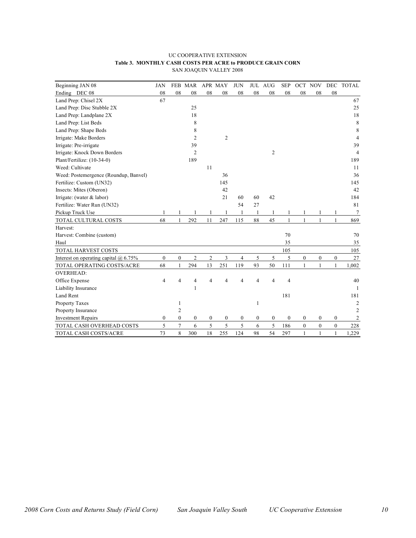#### UC COOPERATIVE EXTENSION **Table 3. MONTHLY CASH COSTS PER ACRE to PRODUCE GRAIN CORN** SAN JOAQUIN VALLEY 2008

| Beginning JAN 08                        | <b>JAN</b>       |                  | FEB MAR          |                  | APR MAY          | <b>JUN</b>       |                  | JUL AUG          | <b>SEP</b>       |                  | OCT NOV          | <b>DEC</b>       | <b>TOTAL</b>    |
|-----------------------------------------|------------------|------------------|------------------|------------------|------------------|------------------|------------------|------------------|------------------|------------------|------------------|------------------|-----------------|
| Ending DEC 08                           | 08               | 08               | 08               | 08               | 08               | 08               | 08               | 08               | 08               | 08               | 08               | 08               |                 |
| Land Prep: Chisel 2X                    | 67               |                  |                  |                  |                  |                  |                  |                  |                  |                  |                  |                  | 67              |
| Land Prep: Disc Stubble 2X              |                  |                  | 25               |                  |                  |                  |                  |                  |                  |                  |                  |                  | 25              |
| Land Prep: Landplane 2X                 |                  |                  | 18               |                  |                  |                  |                  |                  |                  |                  |                  |                  | 18              |
| Land Prep: List Beds                    |                  |                  | 8                |                  |                  |                  |                  |                  |                  |                  |                  |                  | 8               |
| Land Prep: Shape Beds                   |                  |                  | 8                |                  |                  |                  |                  |                  |                  |                  |                  |                  | 8               |
| Irrigate: Make Borders                  |                  |                  | $\overline{2}$   |                  | 2                |                  |                  |                  |                  |                  |                  |                  | $\overline{4}$  |
| Irrigate: Pre-irrigate                  |                  |                  | 39               |                  |                  |                  |                  |                  |                  |                  |                  |                  | 39              |
| Irrigate: Knock Down Borders            |                  |                  | $\overline{2}$   |                  |                  |                  |                  | $\overline{c}$   |                  |                  |                  |                  | $\overline{4}$  |
| Plant/Fertilize: (10-34-0)              |                  |                  | 189              |                  |                  |                  |                  |                  |                  |                  |                  |                  | 189             |
| Weed: Cultivate                         |                  |                  |                  | 11               |                  |                  |                  |                  |                  |                  |                  |                  | 11              |
| Weed: Postemergence (Roundup, Banvel)   |                  |                  |                  |                  | 36               |                  |                  |                  |                  |                  |                  |                  | 36              |
| Fertilize: Custom (UN32)                |                  |                  |                  |                  | 145              |                  |                  |                  |                  |                  |                  |                  | 145             |
| Insects: Mites (Oberon)                 |                  |                  |                  |                  | 42               |                  |                  |                  |                  |                  |                  |                  | 42              |
| Irrigate: (water $&$ labor)             |                  |                  |                  |                  | 21               | 60               | 60               | 42               |                  |                  |                  |                  | 184             |
| Fertilize: Water Run (UN32)             |                  |                  |                  |                  |                  | 54               | 27               |                  |                  |                  |                  |                  | 81              |
| Pickup Truck Use                        |                  |                  |                  |                  |                  | 1                | 1                |                  |                  |                  |                  |                  | $7\phantom{.0}$ |
| TOTAL CULTURAL COSTS                    | 68               | $\mathbf{1}$     | 292              | 11               | 247              | 115              | 88               | 45               | 1                | $\mathbf{1}$     | $\mathbf{1}$     | $\mathbf{1}$     | 869             |
| Harvest:                                |                  |                  |                  |                  |                  |                  |                  |                  |                  |                  |                  |                  |                 |
| Harvest: Combine (custom)               |                  |                  |                  |                  |                  |                  |                  |                  | 70               |                  |                  |                  | 70              |
| Haul                                    |                  |                  |                  |                  |                  |                  |                  |                  | 35               |                  |                  |                  | 35              |
| TOTAL HARVEST COSTS                     |                  |                  |                  |                  |                  |                  |                  |                  | 105              |                  |                  |                  | 105             |
| Interest on operating capital $@$ 6.75% | $\boldsymbol{0}$ | $\boldsymbol{0}$ | $\overline{c}$   | $\overline{c}$   | 3                | $\overline{4}$   | 5                | 5                | 5                | $\mathbf{0}$     | $\overline{0}$   | $\boldsymbol{0}$ | 27              |
| TOTAL OPERATING COSTS/ACRE              | 68               | $\mathbf{1}$     | 294              | 13               | 251              | 119              | 93               | 50               | 111              |                  |                  | 1                | 1,002           |
| <b>OVERHEAD:</b>                        |                  |                  |                  |                  |                  |                  |                  |                  |                  |                  |                  |                  |                 |
| Office Expense                          | $\overline{4}$   | 4                | 4                | 4                | 4                | $\overline{4}$   | $\overline{4}$   | 4                | $\overline{4}$   |                  |                  |                  | 40              |
| Liability Insurance                     |                  |                  | 1                |                  |                  |                  |                  |                  |                  |                  |                  |                  | -1              |
| Land Rent                               |                  |                  |                  |                  |                  |                  |                  |                  | 181              |                  |                  |                  | 181             |
| Property Taxes                          |                  | $\mathbf{1}$     |                  |                  |                  |                  | 1                |                  |                  |                  |                  |                  | 2               |
| Property Insurance                      |                  | $\overline{2}$   |                  |                  |                  |                  |                  |                  |                  |                  |                  |                  | $\overline{2}$  |
| <b>Investment Repairs</b>               | $\boldsymbol{0}$ | $\boldsymbol{0}$ | $\boldsymbol{0}$ | $\boldsymbol{0}$ | $\boldsymbol{0}$ | $\boldsymbol{0}$ | $\boldsymbol{0}$ | $\boldsymbol{0}$ | $\boldsymbol{0}$ | $\boldsymbol{0}$ | $\boldsymbol{0}$ | $\boldsymbol{0}$ | 2               |
| TOTAL CASH OVERHEAD COSTS               | 5                | $\tau$           | 6                | $\mathfrak s$    | 5                | 5                | 6                | 5                | 186              | $\boldsymbol{0}$ | $\boldsymbol{0}$ | $\boldsymbol{0}$ | 228             |
| TOTAL CASH COSTS/ACRE                   | 73               | 8                | 300              | 18               | 255              | 124              | 98               | 54               | 297              | 1                | $\mathbf{1}$     | $\mathbf{1}$     | 1,229           |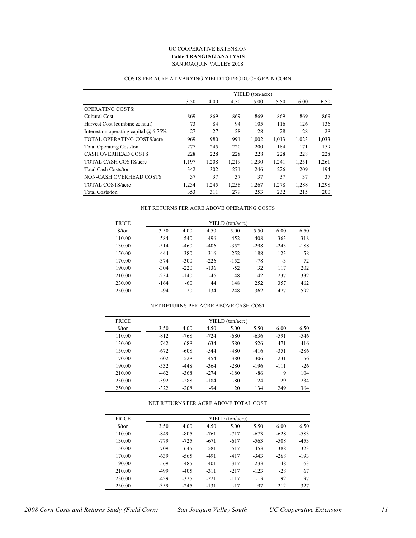#### UC COOPERATIVE EXTENSION **Table 4 RANGING ANALYSIS** SAN JOAQUIN VALLEY 2008

#### COSTS PER ACRE AT VARYING YIELD TO PRODUCE GRAIN CORN

|                                              |       |       |       | YIELD (ton/acre) |       |       |       |
|----------------------------------------------|-------|-------|-------|------------------|-------|-------|-------|
|                                              | 3.50  | 4.00  | 4.50  | 5.00             | 5.50  | 6.00  | 6.50  |
| <b>OPERATING COSTS:</b>                      |       |       |       |                  |       |       |       |
| Cultural Cost                                | 869   | 869   | 869   | 869              | 869   | 869   | 869   |
| Harvest Cost (combine & haul)                | 73    | 84    | 94    | 105              | 116   | 126   | 136   |
| Interest on operating capital $\omega$ 6.75% | 27    | 27    | 28    | 28               | 28    | 28    | 28    |
| <b>TOTAL OPERATING COSTS/acre</b>            | 969   | 980   | 991   | 1,002            | 1,013 | 1,023 | 1,033 |
| <b>Total Operating Cost/ton</b>              | 277   | 245   | 220   | 200              | 184   | 171   | 159   |
| <b>CASH OVERHEAD COSTS</b>                   | 228   | 228   | 228   | 228              | 228   | 228   | 228   |
| <b>TOTAL CASH COSTS/acre</b>                 | 1,197 | 1,208 | 1,219 | 1,230            | 1,241 | 1,251 | 1,261 |
| <b>Total Cash Costs/ton</b>                  | 342   | 302   | 271   | 246              | 226   | 209   | 194   |
| NON-CASH OVERHEAD COSTS                      | 37    | 37    | 37    | 37               | 37    | 37    | 37    |
| TOTAL COSTS/acre                             | 1,234 | 1,245 | 1,256 | 1,267            | 1,278 | 1,288 | 1,298 |
| <b>Total Costs/ton</b>                       | 353   | 311   | 279   | 253              | 232   | 215   | 200   |

#### NET RETURNS PER ACRE ABOVE OPERATING COSTS

| <b>PRICE</b> |        |        |        | YIELD (ton/acre) |        |        |        |
|--------------|--------|--------|--------|------------------|--------|--------|--------|
| $S$ /ton     | 3.50   | 4.00   | 4.50   | 5.00             | 5.50   | 6.00   | 6.50   |
| 110.00       | $-584$ | $-540$ | -496   | $-452$           | $-408$ | $-363$ | $-318$ |
| 130.00       | $-514$ | $-460$ | $-406$ | $-352$           | $-298$ | $-243$ | $-188$ |
| 150.00       | $-444$ | $-380$ | $-316$ | $-252$           | $-188$ | $-123$ | $-58$  |
| 170.00       | $-374$ | $-300$ | $-226$ | $-152$           | $-78$  | $-3$   | 72     |
| 190.00       | $-304$ | $-220$ | $-136$ | $-52$            | 32     | 117    | 202    |
| 210.00       | $-234$ | $-140$ | $-46$  | 48               | 142    | 237    | 332    |
| 230.00       | $-164$ | $-60$  | 44     | 148              | 252    | 357    | 462    |
| 250.00       | $-94$  | 20     | 134    | 248              | 362    | 477    | 592    |

#### NET RETURNS PER ACRE ABOVE CASH COST

| <b>PRICE</b>                  | YIELD (ton/acre) |        |        |        |        |        |        |  |  |  |  |
|-------------------------------|------------------|--------|--------|--------|--------|--------|--------|--|--|--|--|
| $\frac{\text{S}}{\text{ton}}$ | 3.50             | 4.00   | 4.50   | 5.00   | 5.50   | 6.00   | 6.50   |  |  |  |  |
| 110.00                        | $-812$           | $-768$ | $-724$ | $-680$ | $-636$ | $-591$ | $-546$ |  |  |  |  |
| 130.00                        | $-742$           | $-688$ | $-634$ | $-580$ | $-526$ | $-471$ | $-416$ |  |  |  |  |
| 150.00                        | $-672$           | $-608$ | $-544$ | $-480$ | $-416$ | $-351$ | $-286$ |  |  |  |  |
| 170.00                        | $-602$           | $-528$ | $-454$ | $-380$ | $-306$ | $-231$ | $-156$ |  |  |  |  |
| 190.00                        | $-532$           | $-448$ | $-364$ | $-280$ | $-196$ | $-111$ | $-26$  |  |  |  |  |
| 210.00                        | $-462$           | $-368$ | $-274$ | $-180$ | $-86$  | 9      | 104    |  |  |  |  |
| 230.00                        | $-392$           | $-288$ | $-184$ | $-80$  | 24     | 129    | 234    |  |  |  |  |
| 250.00                        | $-322$           | $-208$ | $-94$  | 20     | 134    | 249    | 364    |  |  |  |  |

#### NET RETURNS PER ACRE ABOVE TOTAL COST

| <b>PRICE</b>                  |        |        |        | YIELD (ton/acre) |        |        |        |
|-------------------------------|--------|--------|--------|------------------|--------|--------|--------|
| $\frac{\text{S}}{\text{ton}}$ | 3.50   | 4.00   | 4.50   | 5.00             | 5.50   | 6.00   | 6.50   |
| 110.00                        | $-849$ | $-805$ | $-761$ | $-717$           | $-673$ | $-628$ | $-583$ |
| 130.00                        | -779   | $-725$ | $-671$ | $-617$           | $-563$ | $-508$ | $-453$ |
| 150.00                        | $-709$ | $-645$ | $-581$ | $-517$           | $-453$ | $-388$ | $-323$ |
| 170.00                        | $-639$ | $-565$ | $-491$ | $-417$           | $-343$ | $-268$ | $-193$ |
| 190.00                        | $-569$ | $-485$ | $-401$ | $-317$           | $-233$ | $-148$ | $-63$  |
| 210.00                        | $-499$ | $-405$ | $-311$ | $-217$           | $-123$ | $-28$  | 67     |
| 230.00                        | $-429$ | $-325$ | $-221$ | $-117$           | $-13$  | 92     | 197    |
| 250.00                        | $-359$ | $-245$ | $-131$ | $-17$            | 97     | 212    | 327    |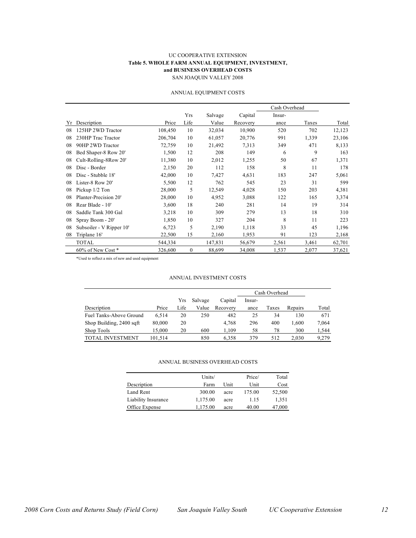#### UC COOPERATIVE EXTENSION **Table 5. WHOLE FARM ANNUAL EQUIPMENT, INVESTMENT, and BUSINESS OVERHEAD COSTS** SAN JOAQUIN VALLEY 2008

#### ANNUAL EQUIPMENT COSTS

|    |                          |         |              |         |          | Cash Overhead |       |        |
|----|--------------------------|---------|--------------|---------|----------|---------------|-------|--------|
|    |                          |         | Yrs          | Salvage | Capital  | Insur-        |       |        |
| Yr | Description              | Price   | Life         | Value   | Recovery | ance          | Taxes | Total  |
| 08 | 125HP 2WD Tractor        | 108,450 | 10           | 32,034  | 10,900   | 520           | 702   | 12,123 |
| 08 | 230HP Trac Tractor       | 206,704 | 10           | 61,057  | 20,776   | 991           | 1,339 | 23,106 |
| 08 | 90HP 2WD Tractor         | 72,759  | 10           | 21,492  | 7,313    | 349           | 471   | 8,133  |
| 08 | Bed Shaper-8 Row 20'     | 1,500   | 12           | 208     | 149      | 6             | 9     | 163    |
| 08 | Cult-Rolling-8Row 20'    | 11,380  | 10           | 2,012   | 1,255    | 50            | 67    | 1,371  |
| 08 | Disc - Border            | 2,150   | 20           | 112     | 158      | 8             | 11    | 178    |
| 08 | Disc - Stubble 18'       | 42,000  | 10           | 7,427   | 4,631    | 183           | 247   | 5,061  |
| 08 | Lister-8 Row 20'         | 5,500   | 12           | 762     | 545      | 23            | 31    | 599    |
| 08 | Pickup 1/2 Ton           | 28,000  | 5            | 12,549  | 4,028    | 150           | 203   | 4,381  |
| 08 | Planter-Precision 20'    | 28,000  | 10           | 4,952   | 3,088    | 122           | 165   | 3,374  |
| 08 | Rear Blade - 10'         | 3,600   | 18           | 240     | 281      | 14            | 19    | 314    |
| 08 | Saddle Tank 300 Gal      | 3,218   | 10           | 309     | 279      | 13            | 18    | 310    |
| 08 | Spray Boom - 20'         | 1,850   | 10           | 327     | 204      | 8             | 11    | 223    |
| 08 | Subsoiler - V Ripper 10' | 6,723   | 5            | 2,190   | 1,118    | 33            | 45    | 1,196  |
| 08 | Triplane 16'             | 22,500  | 15           | 2,160   | 1,953    | 91            | 123   | 2,168  |
|    | <b>TOTAL</b>             | 544,334 |              | 147,831 | 56,679   | 2,561         | 3,461 | 62,701 |
|    | 60% of New Cost*         | 326,600 | $\mathbf{0}$ | 88,699  | 34,008   | 1,537         | 2,077 | 37,621 |

\*Used to reflect a mix of new and used equipment

#### ANNUAL INVESTMENT COSTS

|                          |         |      |         |          | Cash Overhead |       |         |       |
|--------------------------|---------|------|---------|----------|---------------|-------|---------|-------|
|                          |         | Yrs  | Salvage | Capital  | Insur-        |       |         |       |
| Description              | Price   | Life | Value   | Recovery | ance          | Taxes | Repairs | Total |
| Fuel Tanks-Above Ground  | 6.514   | 20   | 250     | 482      | 25            | 34    | 130     | 671   |
| Shop Building, 2400 sqft | 80,000  | 20   |         | 4.768    | 296           | 400   | 1.600   | 7,064 |
| Shop Tools               | 15.000  | 20   | 600     | 1.109    | 58            | 78    | 300     | 1,544 |
| TOTAL INVESTMENT         | 101.514 |      | 850     | 6.358    | 379           | 512   | 2.030   | 9,279 |

#### ANNUAL BUSINESS OVERHEAD COSTS

|                     | Units/   |      | Price/ | Total  |
|---------------------|----------|------|--------|--------|
| Description         | Farm     | Unit | Unit   | Cost   |
| Land Rent           | 300.00   | acre | 175.00 | 52,500 |
| Liability Insurance | 1,175.00 | acre | 1.15   | 1,351  |
| Office Expense      | 1,175.00 | acre | 40.00  | 47,000 |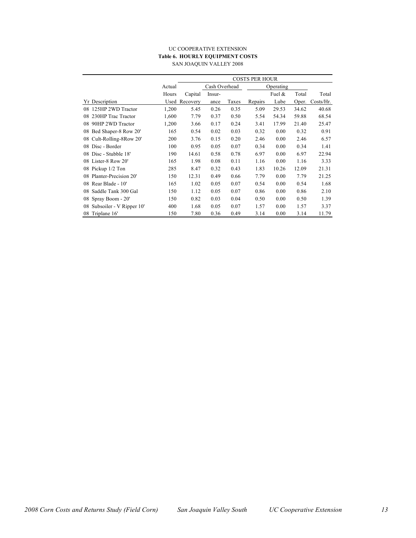#### UC COOPERATIVE EXTENSION **Table 6. HOURLY EQUIPMENT COSTS** SAN JOAQUIN VALLEY 2008

|                                |        | <b>COSTS PER HOUR</b> |        |       |           |        |       |           |  |  |
|--------------------------------|--------|-----------------------|--------|-------|-----------|--------|-------|-----------|--|--|
|                                | Actual | Cash Overhead         |        |       | Operating |        |       |           |  |  |
|                                | Hours  | Capital               | Insur- |       |           | Fuel & | Total | Total     |  |  |
| Yr Description                 | Used   | Recovery              | ance   | Taxes | Repairs   | Lube   | Oper. | Costs/Hr. |  |  |
| 08 125HP 2WD Tractor           | 1,200  | 5.45                  | 0.26   | 0.35  | 5.09      | 29.53  | 34.62 | 40.68     |  |  |
| 08 230HP Trac Tractor          | 1,600  | 7.79                  | 0.37   | 0.50  | 5.54      | 54.34  | 59.88 | 68.54     |  |  |
| 90HP 2WD Tractor<br>08         | 1,200  | 3.66                  | 0.17   | 0.24  | 3.41      | 17.99  | 21.40 | 25.47     |  |  |
| Bed Shaper-8 Row 20'<br>08     | 165    | 0.54                  | 0.02   | 0.03  | 0.32      | 0.00   | 0.32  | 0.91      |  |  |
| Cult-Rolling-8Row 20'<br>08    | 200    | 3.76                  | 0.15   | 0.20  | 2.46      | 0.00   | 2.46  | 6.57      |  |  |
| 08 Disc - Border               | 100    | 0.95                  | 0.05   | 0.07  | 0.34      | 0.00   | 0.34  | 1.41      |  |  |
| 08 Disc - Stubble 18'          | 190    | 14.61                 | 0.58   | 0.78  | 6.97      | 0.00   | 6.97  | 22.94     |  |  |
| 08 Lister-8 Row 20'            | 165    | 1.98                  | 0.08   | 0.11  | 1.16      | 0.00   | 1.16  | 3.33      |  |  |
| 08 Pickup 1/2 Ton              | 285    | 8.47                  | 0.32   | 0.43  | 1.83      | 10.26  | 12.09 | 21.31     |  |  |
| 08 Planter-Precision 20'       | 150    | 12.31                 | 0.49   | 0.66  | 7.79      | 0.00   | 7.79  | 21.25     |  |  |
| 08 Rear Blade - 10'            | 165    | 1.02                  | 0.05   | 0.07  | 0.54      | 0.00   | 0.54  | 1.68      |  |  |
| Saddle Tank 300 Gal<br>08      | 150    | 1.12                  | 0.05   | 0.07  | 0.86      | 0.00   | 0.86  | 2.10      |  |  |
| 08 Spray Boom - 20'            | 150    | 0.82                  | 0.03   | 0.04  | 0.50      | 0.00   | 0.50  | 1.39      |  |  |
| Subsoiler - V Ripper 10'<br>08 | 400    | 1.68                  | 0.05   | 0.07  | 1.57      | 0.00   | 1.57  | 3.37      |  |  |
| 08 Triplane 16'                | 150    | 7.80                  | 0.36   | 0.49  | 3.14      | 0.00   | 3.14  | 11.79     |  |  |